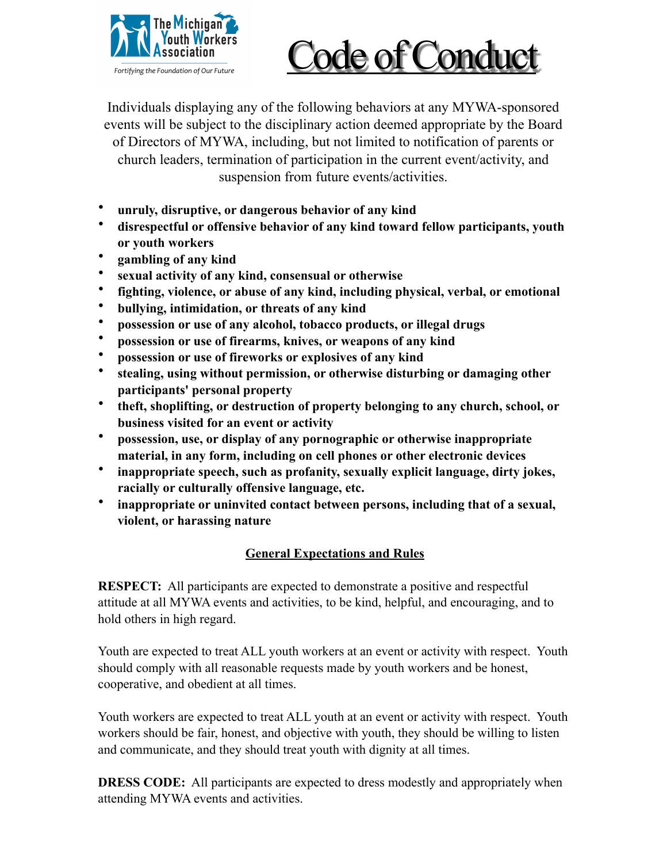

## Code of Conduct

Individuals displaying any of the following behaviors at any MYWA-sponsored events will be subject to the disciplinary action deemed appropriate by the Board of Directors of MYWA, including, but not limited to notification of parents or church leaders, termination of participation in the current event/activity, and suspension from future events/activities.

- **unruly, disruptive, or dangerous behavior of any kind**
- **disrespectful or offensive behavior of any kind toward fellow participants, youth or youth workers**
- **gambling of any kind**
- **sexual activity of any kind, consensual or otherwise**
- **fighting, violence, or abuse of any kind, including physical, verbal, or emotional**
- **bullying, intimidation, or threats of any kind**
- **possession or use of any alcohol, tobacco products, or illegal drugs**
- **possession or use of firearms, knives, or weapons of any kind**
- **possession or use of fireworks or explosives of any kind**
- **stealing, using without permission, or otherwise disturbing or damaging other participants' personal property**
- **theft, shoplifting, or destruction of property belonging to any church, school, or business visited for an event or activity**
- **possession, use, or display of any pornographic or otherwise inappropriate material, in any form, including on cell phones or other electronic devices**
- **inappropriate speech, such as profanity, sexually explicit language, dirty jokes, racially or culturally offensive language, etc.**
- **inappropriate or uninvited contact between persons, including that of a sexual, violent, or harassing nature**

## **General Expectations and Rules**

**RESPECT:** All participants are expected to demonstrate a positive and respectful attitude at all MYWA events and activities, to be kind, helpful, and encouraging, and to hold others in high regard.

Youth are expected to treat ALL youth workers at an event or activity with respect. Youth should comply with all reasonable requests made by youth workers and be honest, cooperative, and obedient at all times.

Youth workers are expected to treat ALL youth at an event or activity with respect. Youth workers should be fair, honest, and objective with youth, they should be willing to listen and communicate, and they should treat youth with dignity at all times.

**DRESS CODE:** All participants are expected to dress modestly and appropriately when attending MYWA events and activities.